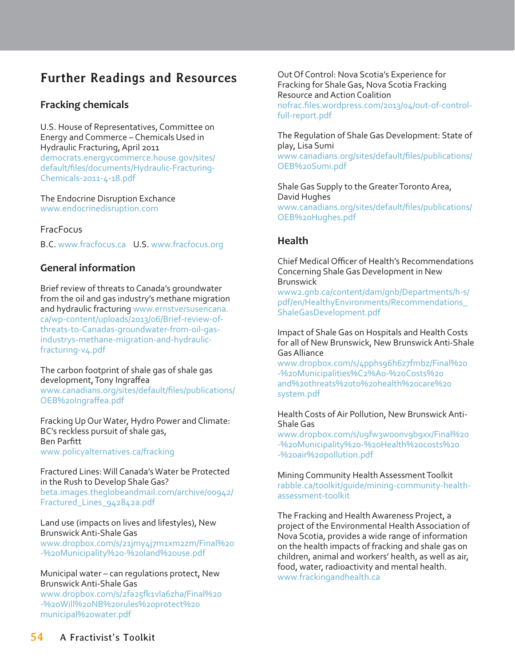# **Further Readings and Resources**

# **Fracking chemicals**

U.S. House of Representatives, Committee on Energy and Commerce – Chemicals Used in Hydraulic Fracturing, April 2011 democrats.energycommerce.house.gov/sites/

default/files/documents/Hydraulic-Fracturing-Chemicals-2011-4-18.pdf

The Endocrine Disruption Exchance www.endocrinedisruption.com

### **FracFocus**

B.C. www.fracfocus.ca U.S. www.fracfocus.org

### **General information**

Brief review of threats to Canada's groundwater from the oil and gas industry's methane migration and hydraulic fracturing www.ernstversusencana. ca/wp-content/uploads/2013/06/Brief-review-ofthreats-to-Canadas-groundwater-from-oil-gasindustrys-methane-migration-and-hydraulicfracturing-v4.pdf

The carbon footprint of shale gas of shale gas development, Tony Ingraffea www.canadians.org/sites/default/files/publications/ OEB%2oIngraffea.pdf

Fracking Up Our Water, Hydro Power and Climate: BC's reckless pursuit of shale gas, Ben Parfitt www.policyalternatives.ca/fracking

Fractured Lines: Will Canada's Water be Protected in the Rush to Develop Shale Gas? beta.images.theglobeandmail.com/archive/00942/ Fractured\_Lines\_942842a.pdf

#### Land use (impacts on lives and lifestyles), New Brunswick Anti-Shale Gas

www.dropbox.com/s/21jmy4j7m1xm2zm/Final%20 -%20Municipality%20-%20land%20use.pdf

#### Municipal water – can regulations protect, New Brunswick Anti-Shale Gas

www.dropbox.com/s/2fa25fk1vla6zha/Final%20 -%20Will%20NB%20rules%20protect%20 municipal%20water.pdf

Out Of Control: Nova Scotia's Experience for Fracking for Shale Gas, Nova Scotia Fracking Resource and Action Coalition nofrac.files.wordpress.com/2013/04/out-of-control-

full-report.pdf

The Regulation of Shale Gas Development: State of play, Lisa Sumi www.canadians.org/sites/default/files/publications/ OEB%20Sumi.pdf

Shale Gas Supply to the Greater Toronto Area, David Hughes www.canadians.org/sites/default/files/publications/ OEB%20Hughes.pdf

### **Health**

Chief Medical Officer of Health's Recommendations Concerning Shale Gas Development in New Brunswick

www2.gnb.ca/content/dam/gnb/Departments/h-s/ pdf/en/HealthyEnvironments/Recommendations\_ ShaleGasDevelopment.pdf

Impact of Shale Gas on Hospitals and Health Costs for all of New Brunswick, New Brunswick Anti-Shale Gas Alliance

www.dropbox.com/s/4pphs96h6z7fmbz/Final%20 -%20Municipalities%C2%A0-%20Costs%20 and%20threats%20to%20health%20care%20 system.pdf

#### Health Costs of Air Pollution, New Brunswick Anti-Shale Gas

www.dropbox.com/s/ugfw3woonvgbgxx/Final%20 -%20Municipality%20-%20Health%20costs%20 -%20air%20pollution.pdf

Mining Community Health Assessment Toolkit rabble.ca/toolkit/guide/mining-community-healthassessment-toolkit

The Fracking and Health Awareness Project, a project of the Environmental Health Association of Nova Scotia, provides a wide range of information on the health impacts of fracking and shale gas on children, animal and workers' health, as well as air, food, water, radioactivity and mental health. www.frackingandhealth.ca